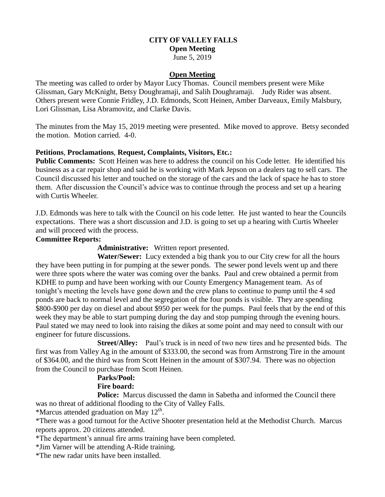## **CITY OF VALLEY FALLS Open Meeting**

June 5, 2019

## **Open Meeting**

The meeting was called to order by Mayor Lucy Thomas. Council members present were Mike Glissman, Gary McKnight, Betsy Doughramaji, and Salih Doughramaji. Judy Rider was absent. Others present were Connie Fridley, J.D. Edmonds, Scott Heinen, Amber Darveaux, Emily Malsbury, Lori Glissman, Lisa Abramovitz, and Clarke Davis.

The minutes from the May 15, 2019 meeting were presented. Mike moved to approve. Betsy seconded the motion. Motion carried. 4-0.

## **Petitions**, **Proclamations**, **Request, Complaints, Visitors, Etc.:**

**Public Comments:** Scott Heinen was here to address the council on his Code letter. He identified his business as a car repair shop and said he is working with Mark Jepson on a dealers tag to sell cars. The Council discussed his letter and touched on the storage of the cars and the lack of space he has to store them. After discussion the Council's advice was to continue through the process and set up a hearing with Curtis Wheeler.

J.D. Edmonds was here to talk with the Council on his code letter. He just wanted to hear the Councils expectations. There was a short discussion and J.D. is going to set up a hearing with Curtis Wheeler and will proceed with the process.

## **Committee Reports:**

**Administrative:** Written report presented.

 **Water/Sewer:** Lucy extended a big thank you to our City crew for all the hours they have been putting in for pumping at the sewer ponds. The sewer pond levels went up and there were three spots where the water was coming over the banks. Paul and crew obtained a permit from KDHE to pump and have been working with our County Emergency Management team. As of tonight's meeting the levels have gone down and the crew plans to continue to pump until the 4 sed ponds are back to normal level and the segregation of the four ponds is visible. They are spending \$800-\$900 per day on diesel and about \$950 per week for the pumps. Paul feels that by the end of this week they may be able to start pumping during the day and stop pumping through the evening hours. Paul stated we may need to look into raising the dikes at some point and may need to consult with our engineer for future discussions.

**Street/Alley:** Paul's truck is in need of two new tires and he presented bids. The first was from Valley Ag in the amount of \$333.00, the second was from Armstrong Tire in the amount of \$364.00, and the third was from Scott Heinen in the amount of \$307.94. There was no objection from the Council to purchase from Scott Heinen.

#### **Parks/Pool: Fire board:**

**Police:** Marcus discussed the damn in Sabetha and informed the Council there was no threat of additional flooding to the City of Valley Falls.

\*Marcus attended graduation on May  $12<sup>th</sup>$ .

\*There was a good turnout for the Active Shooter presentation held at the Methodist Church. Marcus reports approx. 20 citizens attended.

\*The department's annual fire arms training have been completed.

\*Jim Varner will be attending A-Ride training.

\*The new radar units have been installed.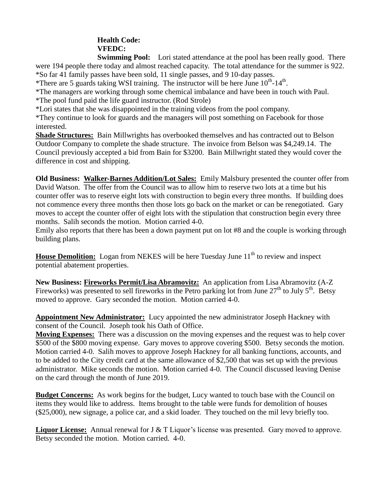# **Health Code:**

**VFEDC:** 

**Swimming Pool:** Lori stated attendance at the pool has been really good. There were 194 people there today and almost reached capacity. The total attendance for the summer is 922. \*So far 41 family passes have been sold, 11 single passes, and 9 10-day passes.

\*There are 5 guards taking WSI training. The instructor will be here June  $10^{th}$ - $14^{th}$ .

\*The managers are working through some chemical imbalance and have been in touch with Paul. \*The pool fund paid the life guard instructor. (Rod Strole)

\*Lori states that she was disappointed in the training videos from the pool company.

\*They continue to look for guards and the managers will post something on Facebook for those interested.

**Shade Structures:** Bain Millwrights has overbooked themselves and has contracted out to Belson Outdoor Company to complete the shade structure. The invoice from Belson was \$4,249.14. The Council previously accepted a bid from Bain for \$3200. Bain Millwright stated they would cover the difference in cost and shipping.

**Old Business: Walker-Barnes Addition/Lot Sales:** Emily Malsbury presented the counter offer from David Watson. The offer from the Council was to allow him to reserve two lots at a time but his counter offer was to reserve eight lots with construction to begin every three months. If building does not commence every three months then those lots go back on the market or can be renegotiated. Gary moves to accept the counter offer of eight lots with the stipulation that construction begin every three months. Salih seconds the motion. Motion carried 4-0.

Emily also reports that there has been a down payment put on lot #8 and the couple is working through building plans.

**House Demolition:** Logan from NEKES will be here Tuesday June 11<sup>th</sup> to review and inspect potential abatement properties.

**New Business: Fireworks Permit/Lisa Abramovitz:** An application from Lisa Abramovitz (A-Z Fireworks) was presented to sell fireworks in the Petro parking lot from June  $27<sup>th</sup>$  to July  $5<sup>th</sup>$ . Betsy moved to approve. Gary seconded the motion. Motion carried 4-0.

**Appointment New Administrator:** Lucy appointed the new administrator Joseph Hackney with consent of the Council. Joseph took his Oath of Office.

**Moving Expenses:** There was a discussion on the moving expenses and the request was to help cover \$500 of the \$800 moving expense. Gary moves to approve covering \$500. Betsy seconds the motion. Motion carried 4-0. Salih moves to approve Joseph Hackney for all banking functions, accounts, and to be added to the City credit card at the same allowance of \$2,500 that was set up with the previous administrator. Mike seconds the motion. Motion carried 4-0. The Council discussed leaving Denise on the card through the month of June 2019.

**Budget Concerns:** As work begins for the budget, Lucy wanted to touch base with the Council on items they would like to address. Items brought to the table were funds for demolition of houses (\$25,000), new signage, a police car, and a skid loader. They touched on the mil levy briefly too.

**Liquor License:** Annual renewal for J & T Liquor's license was presented. Gary moved to approve. Betsy seconded the motion. Motion carried. 4-0.